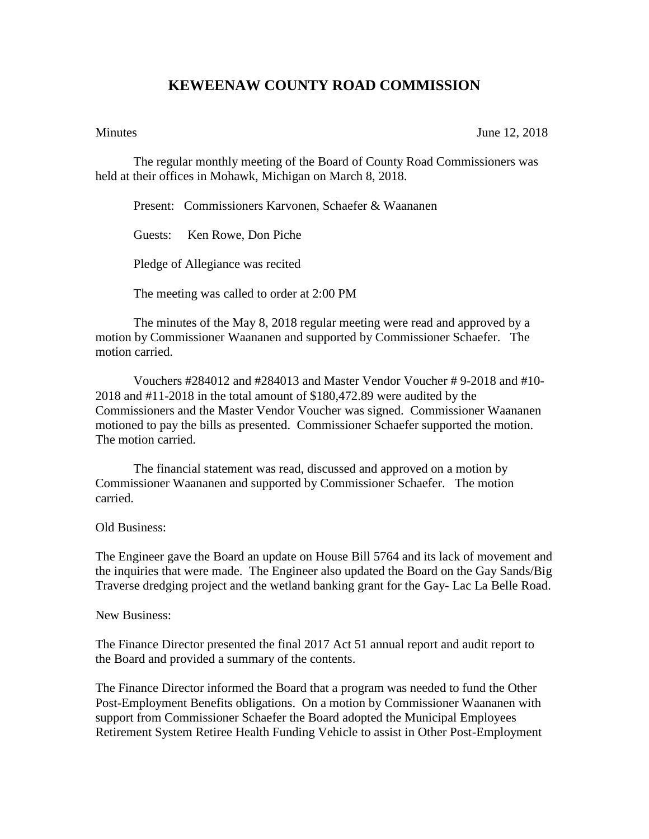## **KEWEENAW COUNTY ROAD COMMISSION**

Minutes June 12, 2018

The regular monthly meeting of the Board of County Road Commissioners was held at their offices in Mohawk, Michigan on March 8, 2018.

Present: Commissioners Karvonen, Schaefer & Waananen

Guests: Ken Rowe, Don Piche

Pledge of Allegiance was recited

The meeting was called to order at 2:00 PM

The minutes of the May 8, 2018 regular meeting were read and approved by a motion by Commissioner Waananen and supported by Commissioner Schaefer. The motion carried.

Vouchers #284012 and #284013 and Master Vendor Voucher # 9-2018 and #10- 2018 and #11-2018 in the total amount of \$180,472.89 were audited by the Commissioners and the Master Vendor Voucher was signed. Commissioner Waananen motioned to pay the bills as presented. Commissioner Schaefer supported the motion. The motion carried.

The financial statement was read, discussed and approved on a motion by Commissioner Waananen and supported by Commissioner Schaefer. The motion carried.

Old Business:

The Engineer gave the Board an update on House Bill 5764 and its lack of movement and the inquiries that were made. The Engineer also updated the Board on the Gay Sands/Big Traverse dredging project and the wetland banking grant for the Gay- Lac La Belle Road.

New Business:

The Finance Director presented the final 2017 Act 51 annual report and audit report to the Board and provided a summary of the contents.

The Finance Director informed the Board that a program was needed to fund the Other Post-Employment Benefits obligations. On a motion by Commissioner Waananen with support from Commissioner Schaefer the Board adopted the Municipal Employees Retirement System Retiree Health Funding Vehicle to assist in Other Post-Employment